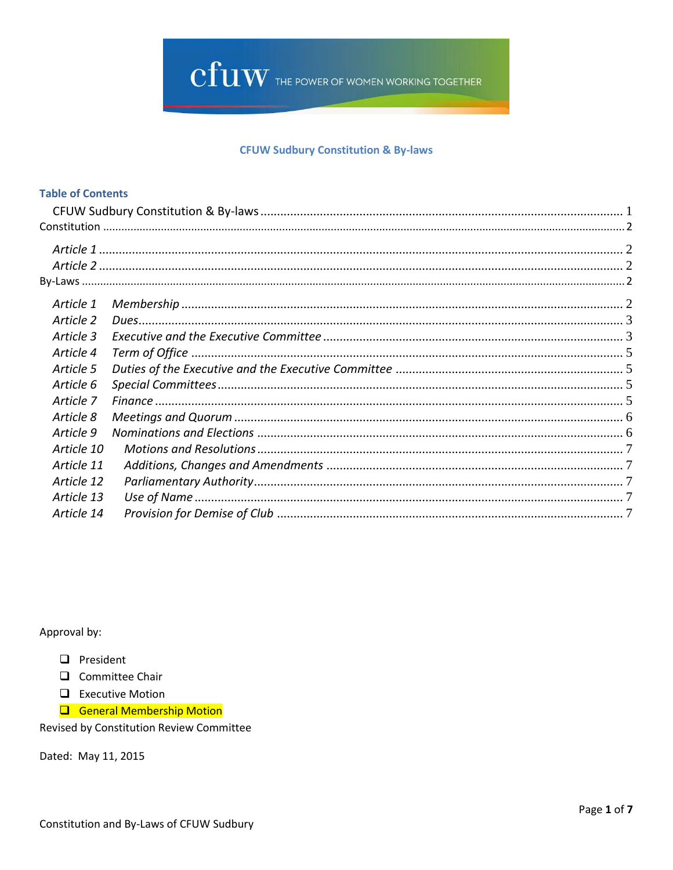

## **CFUW Sudbury Constitution & By-laws**

## <span id="page-0-0"></span>**Table of Contents**

| Article 1  |  |
|------------|--|
| Article 2  |  |
| Article 3  |  |
| Article 4  |  |
| Article 5  |  |
| Article 6  |  |
| Article 7  |  |
| Article 8  |  |
| Article 9  |  |
| Article 10 |  |
| Article 11 |  |
| Article 12 |  |
| Article 13 |  |
| Article 14 |  |

Approval by:

- $\Box$  President
- $\Box$  Committee Chair
- $\Box$  Executive Motion
- General Membership Motion

Revised by Constitution Review Committee

Dated: May 11, 2015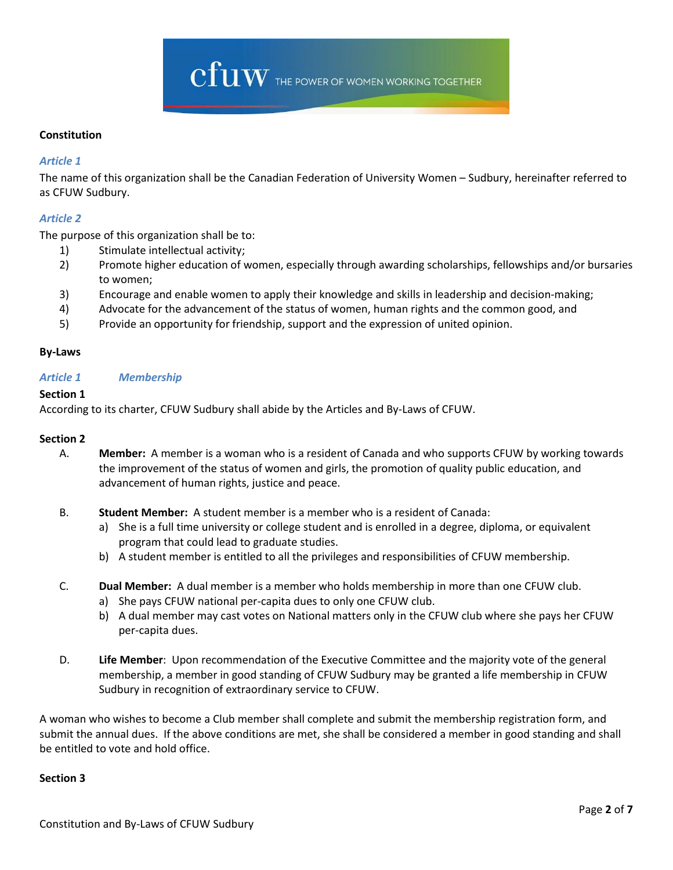

## <span id="page-1-0"></span>**Constitution**

## <span id="page-1-1"></span>*Article 1*

The name of this organization shall be the Canadian Federation of University Women – Sudbury, hereinafter referred to as CFUW Sudbury.

## <span id="page-1-2"></span>*Article 2*

The purpose of this organization shall be to:

- 1) Stimulate intellectual activity;
- 2) Promote higher education of women, especially through awarding scholarships, fellowships and/or bursaries to women;
- 3) Encourage and enable women to apply their knowledge and skills in leadership and decision‐making;
- 4) Advocate for the advancement of the status of women, human rights and the common good, and
- 5) Provide an opportunity for friendship, support and the expression of united opinion.

### <span id="page-1-3"></span>**By-Laws**

## <span id="page-1-4"></span>*Article 1 Membership*

### **Section 1**

According to its charter, CFUW Sudbury shall abide by the Articles and By-Laws of CFUW.

### **Section 2**

- A. **Member:** A member is a woman who is a resident of Canada and who supports CFUW by working towards the improvement of the status of women and girls, the promotion of quality public education, and advancement of human rights, justice and peace.
- B. **Student Member:** A student member is a member who is a resident of Canada:
	- a) She is a full time university or college student and is enrolled in a degree, diploma, or equivalent program that could lead to graduate studies.
	- b) A student member is entitled to all the privileges and responsibilities of CFUW membership.
- C. **Dual Member:** A dual member is a member who holds membership in more than one CFUW club.
	- a) She pays CFUW national per-capita dues to only one CFUW club.
	- b) A dual member may cast votes on National matters only in the CFUW club where she pays her CFUW per-capita dues.
- D. **Life Member**: Upon recommendation of the Executive Committee and the majority vote of the general membership, a member in good standing of CFUW Sudbury may be granted a life membership in CFUW Sudbury in recognition of extraordinary service to CFUW.

A woman who wishes to become a Club member shall complete and submit the membership registration form, and submit the annual dues. If the above conditions are met, she shall be considered a member in good standing and shall be entitled to vote and hold office.

### **Section 3**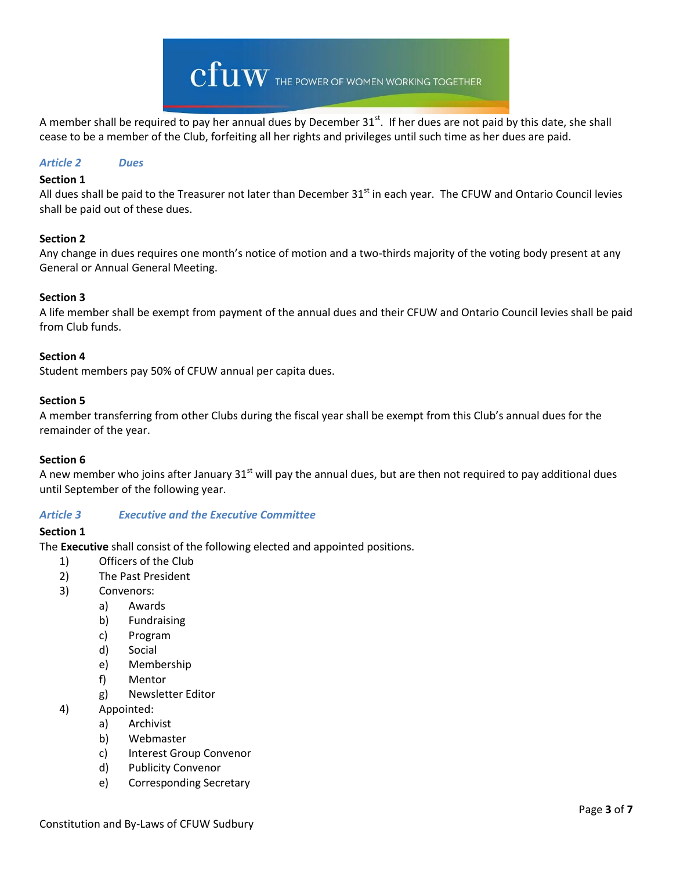

A member shall be required to pay her annual dues by December 31<sup>st</sup>. If her dues are not paid by this date, she shall cease to be a member of the Club, forfeiting all her rights and privileges until such time as her dues are paid.

### <span id="page-2-0"></span>*Article 2 Dues*

#### **Section 1**

All dues shall be paid to the Treasurer not later than December  $31<sup>st</sup>$  in each year. The CFUW and Ontario Council levies shall be paid out of these dues.

#### **Section 2**

Any change in dues requires one month's notice of motion and a two-thirds majority of the voting body present at any General or Annual General Meeting.

### **Section 3**

A life member shall be exempt from payment of the annual dues and their CFUW and Ontario Council levies shall be paid from Club funds.

#### **Section 4**

Student members pay 50% of CFUW annual per capita dues.

#### **Section 5**

A member transferring from other Clubs during the fiscal year shall be exempt from this Club's annual dues for the remainder of the year.

### **Section 6**

A new member who joins after January  $31^{st}$  will pay the annual dues, but are then not required to pay additional dues until September of the following year.

### <span id="page-2-1"></span>*Article 3 Executive and the Executive Committee*

### **Section 1**

The **Executive** shall consist of the following elected and appointed positions.

- 1) Officers of the Club
- 2) The Past President
- 3) Convenors:
	- a) Awards
	- b) Fundraising
	- c) Program
	- d) Social
	- e) Membership
	- f) Mentor
	- g) Newsletter Editor
- 4) Appointed:
	- a) Archivist
	- b) Webmaster
	- c) Interest Group Convenor
	- d) Publicity Convenor
	- e) Corresponding Secretary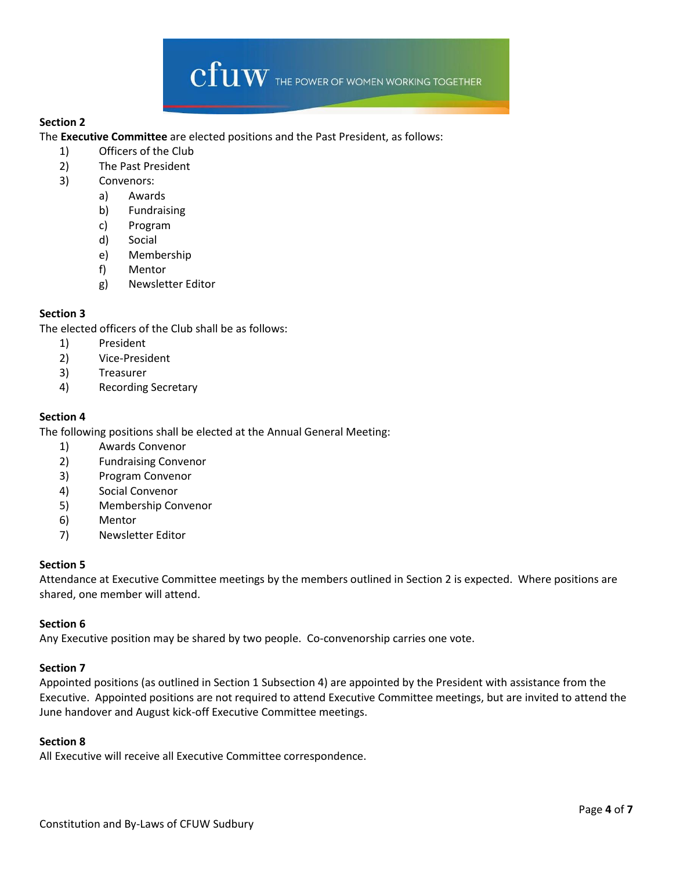

## **Section 2**

The **Executive Committee** are elected positions and the Past President, as follows:

- 1) Officers of the Club
- 2) The Past President
- 3) Convenors:
	- a) Awards
		- b) Fundraising
		- c) Program
		- d) Social
		- e) Membership
		- f) Mentor
		- g) Newsletter Editor

# **Section 3**

The elected officers of the Club shall be as follows:

- 1) President
- 2) Vice-President
- 3) Treasurer
- 4) Recording Secretary

## **Section 4**

The following positions shall be elected at the Annual General Meeting:

- 1) Awards Convenor
- 2) Fundraising Convenor
- 3) Program Convenor
- 4) Social Convenor
- 5) Membership Convenor
- 6) Mentor
- 7) Newsletter Editor

### **Section 5**

Attendance at Executive Committee meetings by the members outlined in Section 2 is expected. Where positions are shared, one member will attend.

### **Section 6**

Any Executive position may be shared by two people. Co-convenorship carries one vote.

### **Section 7**

Appointed positions (as outlined in Section 1 Subsection 4) are appointed by the President with assistance from the Executive. Appointed positions are not required to attend Executive Committee meetings, but are invited to attend the June handover and August kick-off Executive Committee meetings.

### **Section 8**

All Executive will receive all Executive Committee correspondence.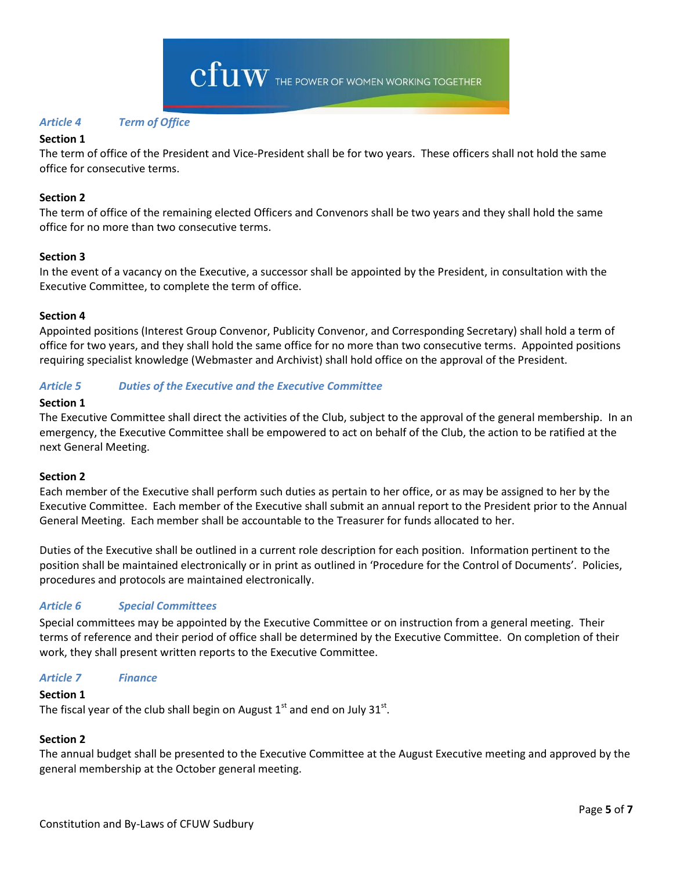## <span id="page-4-0"></span>*Article 4 Term of Office*

### **Section 1**

The term of office of the President and Vice-President shall be for two years. These officers shall not hold the same office for consecutive terms.

## **Section 2**

The term of office of the remaining elected Officers and Convenors shall be two years and they shall hold the same office for no more than two consecutive terms.

### **Section 3**

In the event of a vacancy on the Executive, a successor shall be appointed by the President, in consultation with the Executive Committee, to complete the term of office.

### **Section 4**

Appointed positions (Interest Group Convenor, Publicity Convenor, and Corresponding Secretary) shall hold a term of office for two years, and they shall hold the same office for no more than two consecutive terms. Appointed positions requiring specialist knowledge (Webmaster and Archivist) shall hold office on the approval of the President.

## <span id="page-4-1"></span>*Article 5 Duties of the Executive and the Executive Committee*

### **Section 1**

The Executive Committee shall direct the activities of the Club, subject to the approval of the general membership. In an emergency, the Executive Committee shall be empowered to act on behalf of the Club, the action to be ratified at the next General Meeting.

### **Section 2**

Each member of the Executive shall perform such duties as pertain to her office, or as may be assigned to her by the Executive Committee. Each member of the Executive shall submit an annual report to the President prior to the Annual General Meeting. Each member shall be accountable to the Treasurer for funds allocated to her.

Duties of the Executive shall be outlined in a current role description for each position. Information pertinent to the position shall be maintained electronically or in print as outlined in 'Procedure for the Control of Documents'. Policies, procedures and protocols are maintained electronically.

# <span id="page-4-2"></span>*Article 6 Special Committees*

Special committees may be appointed by the Executive Committee or on instruction from a general meeting. Their terms of reference and their period of office shall be determined by the Executive Committee. On completion of their work, they shall present written reports to the Executive Committee.

### <span id="page-4-3"></span>*Article 7 Finance*

### **Section 1**

The fiscal year of the club shall begin on August  $1^{\text{st}}$  and end on July 31 $^{\text{st}}$ .

### **Section 2**

The annual budget shall be presented to the Executive Committee at the August Executive meeting and approved by the general membership at the October general meeting.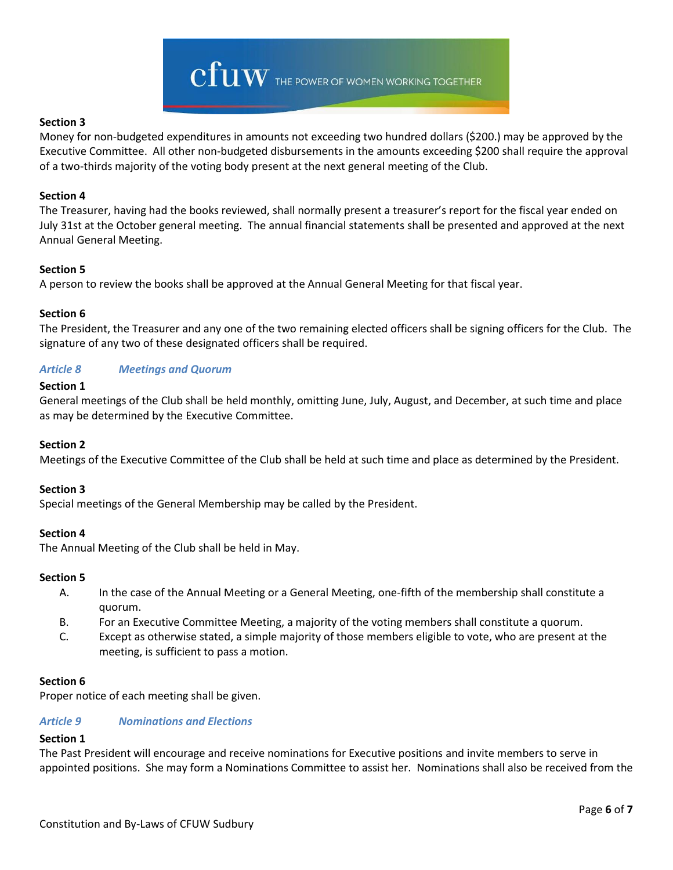

### **Section 3**

Money for non-budgeted expenditures in amounts not exceeding two hundred dollars (\$200.) may be approved by the Executive Committee. All other non-budgeted disbursements in the amounts exceeding \$200 shall require the approval of a two-thirds majority of the voting body present at the next general meeting of the Club.

### **Section 4**

The Treasurer, having had the books reviewed, shall normally present a treasurer's report for the fiscal year ended on July 31st at the October general meeting. The annual financial statements shall be presented and approved at the next Annual General Meeting.

## **Section 5**

A person to review the books shall be approved at the Annual General Meeting for that fiscal year.

## **Section 6**

The President, the Treasurer and any one of the two remaining elected officers shall be signing officers for the Club. The signature of any two of these designated officers shall be required.

# <span id="page-5-0"></span>*Article 8 Meetings and Quorum*

## **Section 1**

General meetings of the Club shall be held monthly, omitting June, July, August, and December, at such time and place as may be determined by the Executive Committee.

### **Section 2**

Meetings of the Executive Committee of the Club shall be held at such time and place as determined by the President.

### **Section 3**

Special meetings of the General Membership may be called by the President.

### **Section 4**

The Annual Meeting of the Club shall be held in May.

### **Section 5**

- A. In the case of the Annual Meeting or a General Meeting, one-fifth of the membership shall constitute a quorum.
- B. For an Executive Committee Meeting, a majority of the voting members shall constitute a quorum.
- C. Except as otherwise stated, a simple majority of those members eligible to vote, who are present at the meeting, is sufficient to pass a motion.

### **Section 6**

<span id="page-5-1"></span>Proper notice of each meeting shall be given.

# *Article 9 Nominations and Elections*

### **Section 1**

The Past President will encourage and receive nominations for Executive positions and invite members to serve in appointed positions. She may form a Nominations Committee to assist her. Nominations shall also be received from the